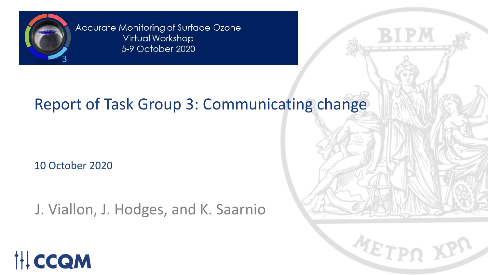

Accurate Monitoring of Surface Ozone Virtual Workshop 5-9 October 2020

### Report of Task Group 3: Communicating change

10 October 2020

J. Viallon, J. Hodges, and K. Saarnio



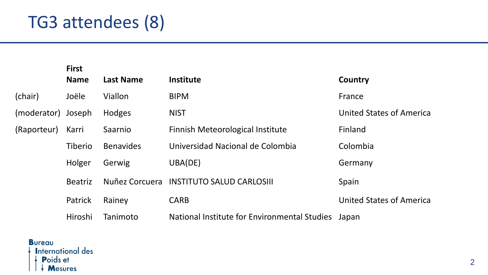## TG3 attendees (8)

|             | <b>First</b><br><b>Name</b> | <b>Last Name</b>      | <b>Institute</b>                             | Country                         |
|-------------|-----------------------------|-----------------------|----------------------------------------------|---------------------------------|
| (chair)     | Joële                       | Viallon               | <b>BIPM</b>                                  | France                          |
| (moderator) | Joseph                      | Hodges                | <b>NIST</b>                                  | <b>United States of America</b> |
| (Raporteur) | Karri                       | Saarnio               | Finnish Meteorological Institute             | Finland                         |
|             | Tiberio                     | <b>Benavides</b>      | Universidad Nacional de Colombia             | Colombia                        |
|             | Holger                      | Gerwig                | UBA(DE)                                      | Germany                         |
|             | <b>Beatriz</b>              | <b>Nuñez Corcuera</b> | <b>INSTITUTO SALUD CARLOSIII</b>             | Spain                           |
|             | Patrick                     | Rainey                | <b>CARB</b>                                  | <b>United States of America</b> |
|             | Hiroshi                     | Tanimoto              | National Institute for Environmental Studies | Japan                           |

**Bureau International des** Poids et  $\mathbf{A}$  Mesures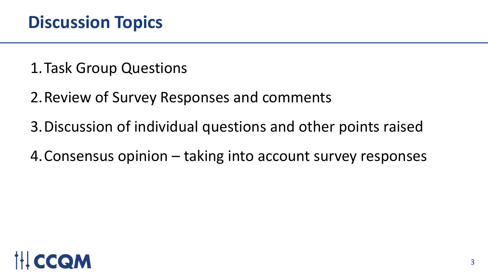1.Task Group Questions

2.Review of Survey Responses and comments

3.Discussion of individual questions and other points raised

4.Consensus opinion – taking into account survey responses

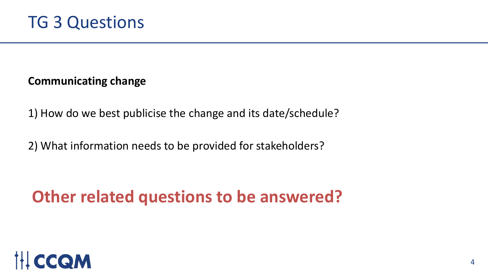**Communicating change**

1) How do we best publicise the change and its date/schedule?

2) What information needs to be provided for stakeholders?

### **Other related questions to be answered?**

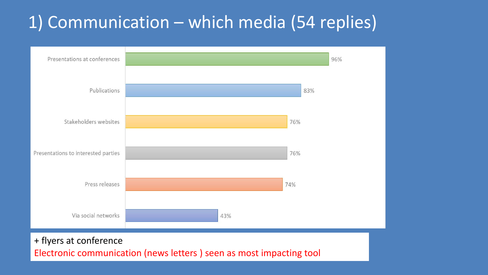## 1) Communication – which media (54 replies)



#### + flyers at conference

Electronic communication (news letters ) seen as most impacting tool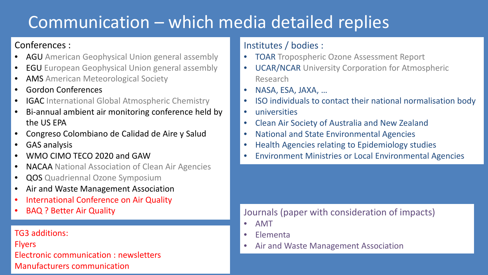## Communication – which media detailed replies

### Conferences :

- **AGU** American Geophysical Union general assembly
- **EGU** European Geophysical Union general assembly
- **AMS** American Meteorological Society
- Gordon Conferences
- **IGAC** International Global Atmospheric Chemistry
- Bi-annual ambient air monitoring conference held by the US EPA
- Congreso Colombiano de Calidad de Aire y Salud
- GAS analysis
- WMO CIMO TECO 2020 and GAW
- **NACAA** National Association of Clean Air Agencies
- **QOS** Quadriennal Ozone Symposium
- Air and Waste Management Association
- International Conference on Air Quality
- BAQ ? Better Air Quality

### TG3 additions:

Flyers

Electronic communication : newsletters Manufacturers communication

### Institutes / bodies :

- TOAR Tropospheric Ozone Assessment Report
- UCAR/NCAR University Corporation for Atmospheric Research
- NASA, ESA, JAXA, …
- ISO individuals to contact their national normalisation body
- universities
- Clean Air Society of Australia and New Zealand
- National and State Environmental Agencies
- Health Agencies relating to Epidemiology studies
- Environment Ministries or Local Environmental Agencies

### Journals (paper with consideration of impacts)

- AMT
- Elementa
- Air and Waste Management Association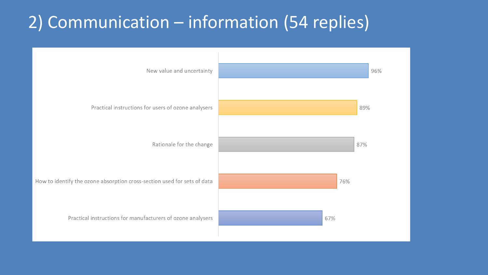## 2) Communication – information (54 replies)

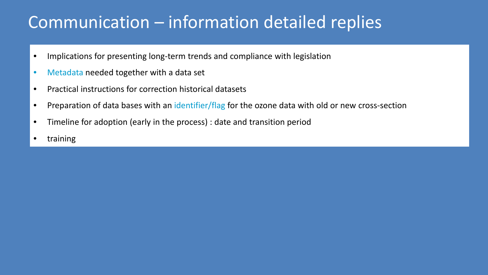### Communication – information detailed replies

- Implications for presenting long-term trends and compliance with legislation
- Metadata needed together with a data set
- Practical instructions for correction historical datasets
- Preparation of data bases with an identifier/flag for the ozone data with old or new cross-section
- Timeline for adoption (early in the process) : date and transition period
- training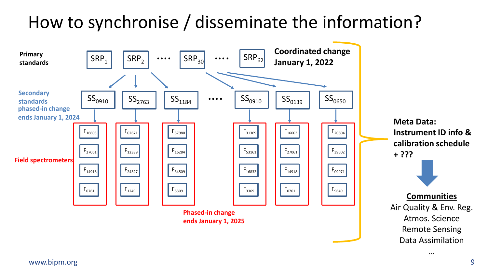## How to synchronise / disseminate the information?

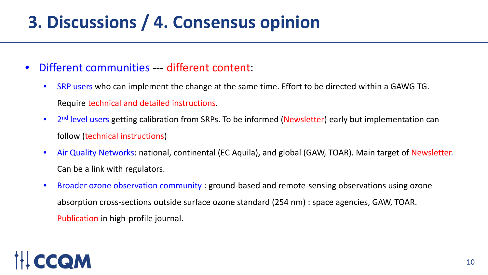# **3. Discussions / 4. Consensus opinion**

- Different communities --- different content:
	- SRP users who can implement the change at the same time. Effort to be directed within a GAWG TG. Require technical and detailed instructions.
	- 2<sup>nd</sup> level users getting calibration from SRPs. To be informed (Newsletter) early but implementation can follow (technical instructions)
	- Air Quality Networks: national, continental (EC Aquila), and global (GAW, TOAR). Main target of Newsletter. Can be a link with regulators.
	- Broader ozone observation community : ground-based and remote-sensing observations using ozone absorption cross-sections outside surface ozone standard (254 nm) : space agencies, GAW, TOAR. Publication in high-profile journal.

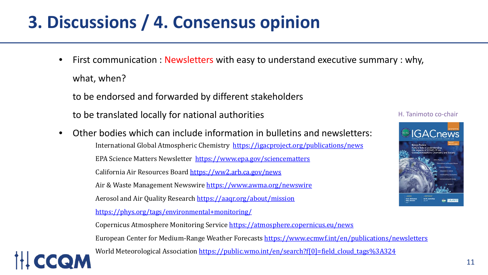# **3. Discussions / 4. Consensus opinion**

First communication : Newsletters with easy to understand executive summary : why, what, when?

to be endorsed and forwarded by different stakeholders

to be translated locally for national authorities

• Other bodies which can include information in bulletins and newsletters: International Global Atmospheric Chemistry <https://igacproject.org/publications/news> EPA Science Matters Newsletter <https://www.epa.gov/sciencematters> California Air Resources Board<https://ww2.arb.ca.gov/news> Air & Waste Management Newswire<https://www.awma.org/newswire> Aerosol and Air Quality Research <https://aaqr.org/about/mission> <https://phys.org/tags/environmental+monitoring/>



Copernicus Atmosphere Monitoring Service<https://atmosphere.copernicus.eu/news> European Center for Medium-Range Weather Forecasts<https://www.ecmwf.int/en/publications/newsletters>

World Meteorological Association [https://public.wmo.int/en/search?f\[0\]=field\\_cloud\\_tags%3A324](https://public.wmo.int/en/search?f%5b0%5d=field_cloud_tags%3A324)